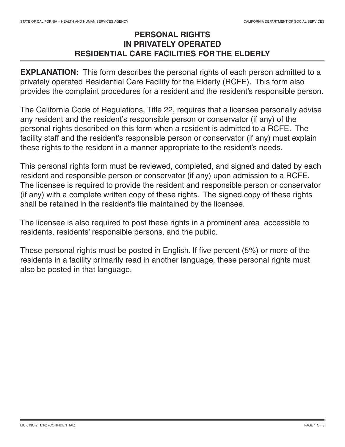## **PERSONAL RIGHTS IN PRIVATELY OPERATED RESIDENTIAL CARE FACILITIES FOR THE ELDERLY**

**EXPLANATION:** This form describes the personal rights of each person admitted to a privately operated Residential Care Facility for the Elderly (RCFE). This form also provides the complaint procedures for a resident and the resident's responsible person.

The California Code of Regulations, Title 22, requires that a licensee personally advise any resident and the resident's responsible person or conservator (if any) of the personal rights described on this form when a resident is admitted to a RCFE. The facility staff and the resident's responsible person or conservator (if any) must explain these rights to the resident in a manner appropriate to the resident's needs.

This personal rights form must be reviewed, completed, and signed and dated by each resident and responsible person or conservator (if any) upon admission to a RCFE. The licensee is required to provide the resident and responsible person or conservator (if any) with a complete written copy of these rights. The signed copy of these rights shall be retained in the resident's file maintained by the licensee.

The licensee is also required to post these rights in a prominent area accessible to residents, residents' responsible persons, and the public.

These personal rights must be posted in English. If five percent (5%) or more of the residents in a facility primarily read in another language, these personal rights must also be posted in that language.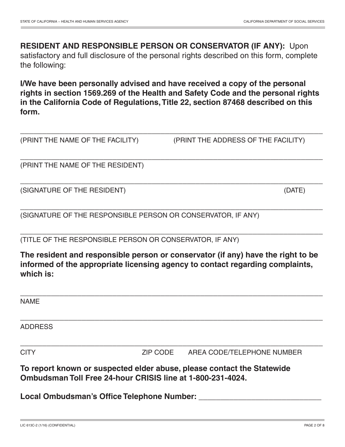## **RESIDENT AND RESPONSIBLE PERSON OR CONSERVATOR (IF ANY):** Upon satisfactory and full disclosure of the personal rights described on this form, complete the following:

**I/We have been personally advised and have received a copy of the personal rights in section 1569.269 of the Health and Safety Code and the personal rights in the California Code of Regulations,Title 22, section 87468 described on this form.**

\_\_\_\_\_\_\_\_\_\_\_\_\_\_\_\_\_\_\_\_\_\_\_\_\_\_\_\_\_\_\_\_\_\_\_\_\_\_\_\_\_\_\_\_\_\_\_\_\_\_\_\_\_\_\_\_\_\_\_\_\_\_\_\_\_\_\_\_\_

\_\_\_\_\_\_\_\_\_\_\_\_\_\_\_\_\_\_\_\_\_\_\_\_\_\_\_\_\_\_\_\_\_\_\_\_\_\_\_\_\_\_\_\_\_\_\_\_\_\_\_\_\_\_\_\_\_\_\_\_\_\_\_\_\_\_\_\_\_

\_\_\_\_\_\_\_\_\_\_\_\_\_\_\_\_\_\_\_\_\_\_\_\_\_\_\_\_\_\_\_\_\_\_\_\_\_\_\_\_\_\_\_\_\_\_\_\_\_\_\_\_\_\_\_\_\_\_\_\_\_\_\_\_\_\_\_\_\_

\_\_\_\_\_\_\_\_\_\_\_\_\_\_\_\_\_\_\_\_\_\_\_\_\_\_\_\_\_\_\_\_\_\_\_\_\_\_\_\_\_\_\_\_\_\_\_\_\_\_\_\_\_\_\_\_\_\_\_\_\_\_\_\_\_\_\_\_\_

\_\_\_\_\_\_\_\_\_\_\_\_\_\_\_\_\_\_\_\_\_\_\_\_\_\_\_\_\_\_\_\_\_\_\_\_\_\_\_\_\_\_\_\_\_\_\_\_\_\_\_\_\_\_\_\_\_\_\_\_\_\_\_\_\_\_\_\_\_

(PRINT THE NAME OF THE FACILITY) (PRINT THE ADDRESS OF THE FACILITY)

(PRINT THE NAME OF THE RESIDENT)

(SIGNATURE OF THE RESIDENT) (DATE)

(SIGNATURE OF THE RESPONSIBLE PERSON OR CONSERVATOR, IF ANY)

(TITLE OF THE RESPONSIBLE PERSON OR CONSERVATOR, IF ANY)

**The resident and responsible person or conservator (if any) have the right to be informed of the appropriate licensing agency to contact regarding complaints, which is:**

| <b>NAME</b>                                                            |          |                            |
|------------------------------------------------------------------------|----------|----------------------------|
|                                                                        |          |                            |
|                                                                        |          |                            |
| <b>ADDRESS</b>                                                         |          |                            |
|                                                                        |          |                            |
|                                                                        |          |                            |
| <b>CITY</b>                                                            | ZIP CODE | AREA CODE/TELEPHONE NUMBER |
|                                                                        |          |                            |
| To report known or suspected elder abuse, please contact the Statewide |          |                            |

**To report known or suspected elder abuse, please contact the Statewide Ombudsman Toll Free 24-hour CRISIS line at 1-800-231-4024.**

**Local Ombudsman's Office Telephone Number: \_\_\_\_\_\_\_\_\_\_\_\_\_\_\_\_\_\_\_\_\_\_\_\_\_\_\_\_**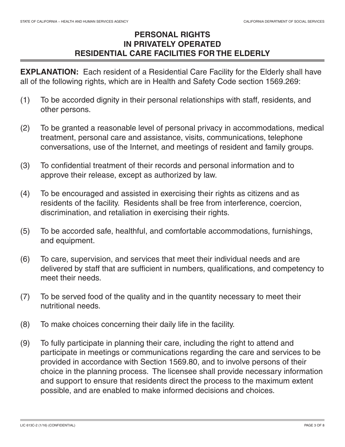## **PERSONAL RIGHTS IN PRIVATELY OPERATED RESIDENTIAL CARE FACILITIES FOR THE ELDERLY**

**EXPLANATION:** Each resident of a Residential Care Facility for the Elderly shall have all of the following rights, which are in Health and Safety Code section 1569.269:

- (1) To be accorded dignity in their personal relationships with staff, residents, and other persons.
- (2) To be granted a reasonable level of personal privacy in accommodations, medical treatment, personal care and assistance, visits, communications, telephone conversations, use of the Internet, and meetings of resident and family groups.
- (3) To confidential treatment of their records and personal information and to approve their release, except as authorized by law.
- (4) To be encouraged and assisted in exercising their rights as citizens and as residents of the facility. Residents shall be free from interference, coercion, discrimination, and retaliation in exercising their rights.
- (5) To be accorded safe, healthful, and comfortable accommodations, furnishings, and equipment.
- (6) To care, supervision, and services that meet their individual needs and are delivered by staff that are sufficient in numbers, qualifications, and competency to meet their needs.
- (7) To be served food of the quality and in the quantity necessary to meet their nutritional needs.
- (8) To make choices concerning their daily life in the facility.
- (9) To fully participate in planning their care, including the right to attend and participate in meetings or communications regarding the care and services to be provided in accordance with Section 1569.80, and to involve persons of their choice in the planning process. The licensee shall provide necessary information and support to ensure that residents direct the process to the maximum extent possible, and are enabled to make informed decisions and choices.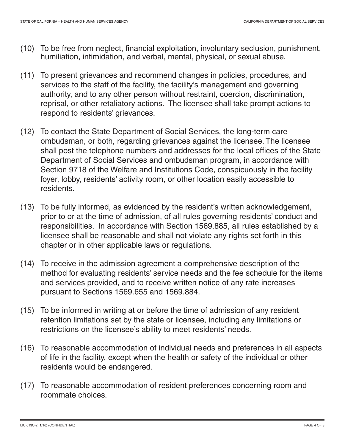- (10) To be free from neglect, financial exploitation, involuntary seclusion, punishment, humiliation, intimidation, and verbal, mental, physical, or sexual abuse.
- (11) To present grievances and recommend changes in policies, procedures, and services to the staff of the facility, the facility's management and governing authority, and to any other person without restraint, coercion, discrimination, reprisal, or other retaliatory actions. The licensee shall take prompt actions to respond to residents' grievances.
- (12) To contact the State Department of Social Services, the long-term care ombudsman, or both, regarding grievances against the licensee. The licensee shall post the telephone numbers and addresses for the local offices of the State Department of Social Services and ombudsman program, in accordance with Section 9718 of the Welfare and Institutions Code, conspicuously in the facility foyer, lobby, residents' activity room, or other location easily accessible to residents.
- (13) To be fully informed, as evidenced by the resident's written acknowledgement, prior to or at the time of admission, of all rules governing residents' conduct and responsibilities. In accordance with Section 1569.885, all rules established by a licensee shall be reasonable and shall not violate any rights set forth in this chapter or in other applicable laws or regulations.
- (14) To receive in the admission agreement a comprehensive description of the method for evaluating residents' service needs and the fee schedule for the items and services provided, and to receive written notice of any rate increases pursuant to Sections 1569.655 and 1569.884.
- (15) To be informed in writing at or before the time of admission of any resident retention limitations set by the state or licensee, including any limitations or restrictions on the licensee's ability to meet residents' needs.
- (16) To reasonable accommodation of individual needs and preferences in all aspects of life in the facility, except when the health or safety of the individual or other residents would be endangered.
- (17) To reasonable accommodation of resident preferences concerning room and roommate choices.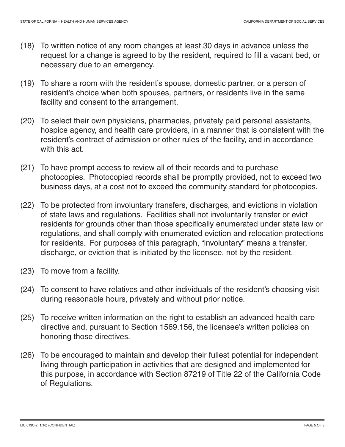- (18) To written notice of any room changes at least 30 days in advance unless the request for a change is agreed to by the resident, required to fill a vacant bed, or necessary due to an emergency.
- (19) To share a room with the resident's spouse, domestic partner, or a person of resident's choice when both spouses, partners, or residents live in the same facility and consent to the arrangement.
- (20) To select their own physicians, pharmacies, privately paid personal assistants, hospice agency, and health care providers, in a manner that is consistent with the resident's contract of admission or other rules of the facility, and in accordance with this act.
- (21) To have prompt access to review all of their records and to purchase photocopies. Photocopied records shall be promptly provided, not to exceed two business days, at a cost not to exceed the community standard for photocopies.
- (22) To be protected from involuntary transfers, discharges, and evictions in violation of state laws and regulations. Facilities shall not involuntarily transfer or evict residents for grounds other than those specifically enumerated under state law or regulations, and shall comply with enumerated eviction and relocation protections for residents. For purposes of this paragraph, "involuntary" means a transfer, discharge, or eviction that is initiated by the licensee, not by the resident.
- (23) To move from a facility.
- (24) To consent to have relatives and other individuals of the resident's choosing visit during reasonable hours, privately and without prior notice.
- (25) To receive written information on the right to establish an advanced health care directive and, pursuant to Section 1569.156, the licensee's written policies on honoring those directives.
- (26) To be encouraged to maintain and develop their fullest potential for independent living through participation in activities that are designed and implemented for this purpose, in accordance with Section 87219 of Title 22 of the California Code of Regulations.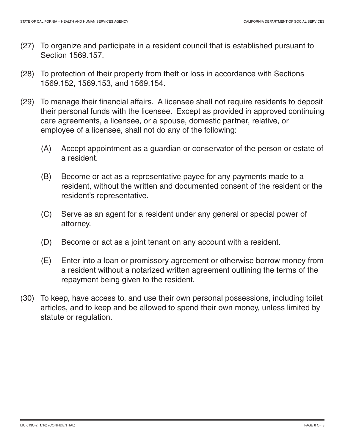- (27) To organize and participate in a resident council that is established pursuant to Section 1569.157.
- (28) To protection of their property from theft or loss in accordance with Sections 1569.152, 1569.153, and 1569.154.
- (29) To manage their financial affairs. A licensee shall not require residents to deposit their personal funds with the licensee. Except as provided in approved continuing care agreements, a licensee, or a spouse, domestic partner, relative, or employee of a licensee, shall not do any of the following:
	- (A) Accept appointment as a guardian or conservator of the person or estate of a resident.
	- (B) Become or act as a representative payee for any payments made to a resident, without the written and documented consent of the resident or the resident's representative.
	- (C) Serve as an agent for a resident under any general or special power of attorney.
	- (D) Become or act as a joint tenant on any account with a resident.
	- (E) Enter into a loan or promissory agreement or otherwise borrow money from a resident without a notarized written agreement outlining the terms of the repayment being given to the resident.
- (30) To keep, have access to, and use their own personal possessions, including toilet articles, and to keep and be allowed to spend their own money, unless limited by statute or regulation.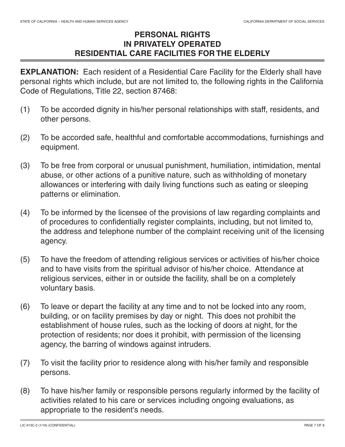## **PERSONAL RIGHTS IN PRIVATELY OPERATED RESIDENTIAL CARE FACILITIES FOR THE ELDERLY**

**EXPLANATION:** Each resident of a Residential Care Facility for the Elderly shall have personal rights which include, but are not limited to, the following rights in the California Code of Regulations, Title 22, section 87468:

- (1) To be accorded dignity in his/her personal relationships with staff, residents, and other persons.
- (2) To be accorded safe, healthful and comfortable accommodations, furnishings and equipment.
- (3) To be free from corporal or unusual punishment, humiliation, intimidation, mental abuse, or other actions of a punitive nature, such as withholding of monetary allowances or interfering with daily living functions such as eating or sleeping patterns or elimination.
- (4) To be informed by the licensee of the provisions of law regarding complaints and of procedures to confidentially register complaints, including, but not limited to, the address and telephone number of the complaint receiving unit of the licensing agency.
- (5) To have the freedom of attending religious services or activities of his/her choice and to have visits from the spiritual advisor of his/her choice. Attendance at religious services, either in or outside the facility, shall be on a completely voluntary basis.
- (6) To leave or depart the facility at any time and to not be locked into any room, building, or on facility premises by day or night. This does not prohibit the establishment of house rules, such as the locking of doors at night, for the protection of residents; nor does it prohibit, with permission of the licensing agency, the barring of windows against intruders.
- (7) To visit the facility prior to residence along with his/her family and responsible persons.
- (8) To have his/her family or responsible persons regularly informed by the facility of activities related to his care or services including ongoing evaluations, as appropriate to the resident's needs.